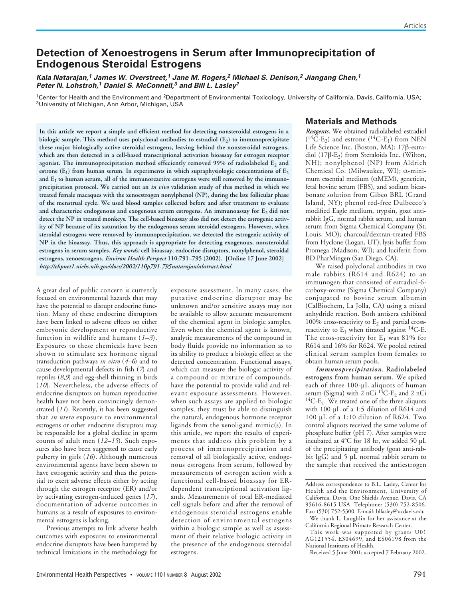# **Detection of Xenoestrogens in Serum after Immunoprecipitation of Endogenous Steroidal Estrogens**

## *Kala Natarajan,1 James W. Overstreet,1 Jane M. Rogers,2 Michael S. Denison,2 Jiangang Chen,1 Peter N. Lohstroh,1 Daniel S. McConnell,3 and Bill L. Lasley1*

<sup>1</sup>Center for Health and the Environment and <sup>2</sup>Department of Environmental Toxicology, University of California, Davis, California, USA; <sup>3</sup>University of Michigan, Ann Arbor, Michigan, USA

**In this article we report a simple and efficient method for detecting nonsteroidal estrogens in a biologic sample. This method uses polyclonal antibodies to estradiol (E2) to immunoprecipitate these major biologically active steroidal estrogens, leaving behind the nonsteroidal estrogens, which are then detected in a cell-based transcriptional activation bioassay for estrogen receptor agonist. The immunoprecipitation method effeciently removed 99% of radiolabeled E2 and** estrone  $(E_1)$  from human serum. In experiments in which supraphysiologic concentrations of  $E_2$ and E<sub>1</sub> to human serum, all of the immunoreactive estrogens were still removed by the immuno**precipitation protocol. We carried out an** *in vivo* **validation study of this method in which we treated female macaques with the xenoestrogen nonylphenol (NP), during the late follicular phase of the menstrual cycle. We used blood samples collected before and after treatment to evaluate** and characterize endogenous and exogenous serum estrogens. An immunoassay for E<sub>2</sub> did not **detect the NP in treated monkeys. The cell-based bioassay also did not detect the estrogenic activity of NP because of its saturation by the endogenous serum steroidal estrogens. However, when steroidal estrogens were removed by immunoprecipitation, we detected the estrogenic activity of NP in the bioassay. Thus, this approach is appropriate for detecting exogenous, nonsteroidal estrogens in serum samples.** *Key words:* **cell bioassay, endocrine disruptors, nonylphenol, steroidal estrogens, xenoestrogens.** *Environ Health Perspect* **110:791–795 (2002). [Online 17 June 2002]** *http://ehpnet1.niehs.nih.gov/docs/2002/110p791-795natarajan/abstract.html*

A great deal of public concern is currently focused on environmental hazards that may have the potential to disrupt endocrine function. Many of these endocrine disruptors have been linked to adverse effects on either embryonic development or reproductive function in wildlife and humans (*1–3*). Exposures to these chemicals have been shown to stimulate sex hormone signal transduction pathways *in vitro* (*4–6*) and to cause developmental defects in fish (*7*) and reptiles (*8,9*) and egg-shell thinning in birds (*10*). Nevertheless, the adverse effects of endocrine disruptors on human reproductive health have not been convincingly demonstrated (*11*). Recently, it has been suggested that *in utero* exposure to environmental estrogens or other endocrine disruptors may be responsible for a global decline in sperm counts of adult men (*12–15*). Such exposures also have been suggested to cause early puberty in girls (*16*). Although numerous environmental agents have been shown to have estrogenic activity and thus the potential to exert adverse effects either by acting through the estrogen receptor (ER) and/or by activating estrogen-induced genes (*17*), documentation of adverse outcomes in humans as a result of exposures to environmental estrogens is lacking.

Previous attempts to link adverse health outcomes with exposures to environmental endocrine disruptors have been hampered by technical limitations in the methodology for

exposure assessment. In many cases, the putative endocrine disruptor may be unknown and/or sensitive assays may not be available to allow accurate measurement of the chemical agent in biologic samples. Even when the chemical agent is known, analytic measurements of the compound in body fluids provide no information as to its ability to produce a biologic effect at the detected concentration. Functional assays, which can measure the biologic activity of a compound or mixture of compounds, have the potential to provide valid and relevant exposure assessments. However, when such assays are applied to biologic samples, they must be able to distinguish the natural, endogenous hormone receptor ligands from the xenoligand mimic(s). In this article, we report the results of experiments that address this problem by a process of immunoprecipitation and removal of all biologically active, endogenous estrogens from serum, followed by measurements of estrogen action with a functional cell-based bioassay for ERdependent transcriptional activation ligands. Measurements of total ER-mediated cell signals before and after the removal of endogenous steroidal estrogens enable detection of environmental estrogens within a biologic sample as well as assessment of their relative biologic activity in the presence of the endogenous steroidal estrogens.

# **Materials and Methods**

*Reagents.* We obtained radiolabeled estradiol  $(^{14}C-E_2)$  and estrone  $(^{14}C-E_1)$  from NEN Life Science Inc. (Boston, MA); 17β-estradiol (17β-E<sub>2</sub>) from Steraloids Inc. (Wilton, NH); nonylphenol (NP) from Aldrich Chemical Co. (Milwaukee, WI); α-minimum essential medium (αMEM), geneticin, fetal bovine serum (FBS), and sodium bicarbonate solution from Gibco BRL (Grand Island, NY); phenol red-free Dulbecco's modified Eagle medium, trypsin, goat antirabbit IgG, normal rabbit serum, and human serum from Sigma Chemical Company (St. Louis, MO); charcoal/dextran-treated FBS from Hyclone (Logan, UT); lysis buffer from Promega (Madison, WI); and luciferin from BD PharMingen (San Diego, CA).

We raised polyclonal antibodies in two male rabbits (R614 and R624) to an immunogen that consisted of estradiol-6 carboxy-oxime (Sigma Chemical Company) conjugated to bovine serum albumin (CalBiochem, La Jolla, CA) using a mixed anhydride reaction. Both antisera exhibited 100% cross-reactivity to  $E_2$  and partial crossreactivity to  $E_1$  when titrated against <sup>14</sup>C-E. The cross-reactivity for  $E_1$  was 81% for R614 and 16% for R624. We pooled retired clinical serum samples from females to obtain human serum pools.

*Immunoprecipitation*. **Radiolabeled estrogens from human serum.** We spiked each of three 100-µL aliquots of human serum (Sigma) with 2 nCi  ${}^{14}C-E_2$  and 2 nCi  ${}^{14}C$ -E<sub>1</sub>. We treated one of the three aliquots with 100 µL of a 1:5 dilution of R614 and 100 µL of a 1:10 dilution of R624. Two control aliquots received the same volume of phosphate buffer (pH 7). After samples were incubated at 4°C for 18 hr, we added 50 µL of the precipitating antibody (goat anti-rabbit IgG) and 5 µL normal rabbit serum to the sample that received the antiestrogen

Address correspondence to B.L. Lasley, Center for Health and the Environment, University of California, Davis, One Shields Avenue, Davis, CA 95616-8615 USA. Telephone: (530) 752-8506. Fax: (530) 752-5300. E-mail: bllasley@ucdavis.edu We thank L. Laughlin for her assistance at the California Regional Primate Research Center.

This work was supported by grants U01 AG121554, ES04699, and ES06198 from the National Institutes of Health.

Received 5 June 2001; accepted 7 February 2002.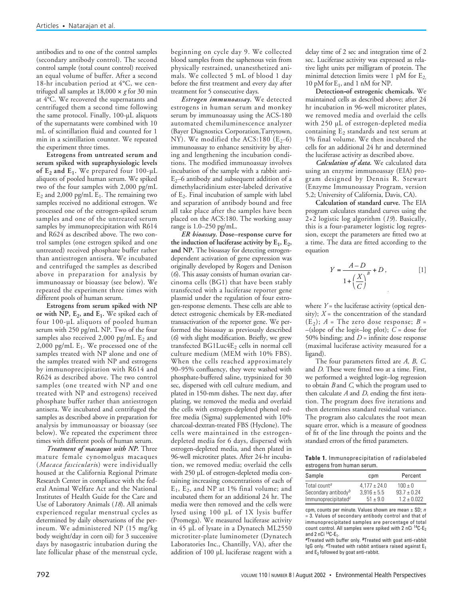antibodies and to one of the control samples (secondary antibody control). The second control sample (total count control) received an equal volume of buffer. After a second 18-hr incubation period at 4°C, we centrifuged all samples at  $18,000 \times g$  for 30 min at 4°C. We recovered the supernatants and centrifuged them a second time following the same protocol. Finally, 100-µL aliquots of the supernatants were combined with 10 mL of scintillation fluid and counted for 1 min in a scintillation counter. We repeated the experiment three times.

**Estrogens from untreated serum and serum spiked with supraphysiologic levels** of E<sub>2</sub> and E<sub>1</sub>. We prepared four 100-µL aliquots of pooled human serum. We spiked two of the four samples with 2,000 pg/mL  $E_2$  and 2,000 pg/mL  $E_1$ . The remaining two samples received no additional estrogen. We processed one of the estrogen-spiked serum samples and one of the untreated serum samples by immunoprecipitation with R614 and R624 as described above. The two control samples (one estrogen spiked and one untreated) received phosphate buffer rather than antiestrogen antisera. We incubated and centrifuged the samples as described above in preparation for analysis by immunoassay or bioassay (see below). We repeated the experiment three times with different pools of human serum.

**Estrogens from serum spiked with NP** or with NP, E<sub>2</sub>, and E<sub>1</sub>. We spiked each of four 100-µL aliquots of pooled human serum with 250 pg/mL NP. Two of the four samples also received 2,000 pg/mL  $E_2$  and  $2,000$  pg/mL  $E_1$ . We processed one of the samples treated with NP alone and one of the samples treated with NP and estrogens by immunoprecipitation with R614 and R624 as described above. The two control samples (one treated with NP and one treated with NP and estrogens) received phosphate buffer rather than antiestrogen antisera. We incubated and centrifuged the samples as described above in preparation for analysis by immunoassay or bioassay (see below). We repeated the experiment three times with different pools of human serum.

*Treatment of macaques with NP.* Three mature female cynomolgus macaques (*Macaca fasciculari*s) were individually housed at the California Regional Primate Research Center in compliance with the federal Animal Welfare Act and the National Institutes of Health Guide for the Care and Use of Laboratory Animals (*18*). All animals experienced regular menstrual cycles as determined by daily observations of the perineum. We administered NP (15 mg/kg body weight/day in corn oil) for 3 successive days by nasogastric intubation during the late follicular phase of the menstrual cycle,

beginning on cycle day 9. We collected blood samples from the saphenous vein from physically restrained, unanesthetized animals. We collected 5 mL of blood 1 day before the first treatment and every day after treatment for 5 consecutive days.

*Estrogen immunoassay.* We detected estrogens in human serum and monkey serum by immunoassay using the ACS-180 automated chemiluminescence analyzer (Bayer Diagnostics Corporation,Tarrytown, NY). We modified the ACS:180  $(E_2-6)$ immunoassay to enhance sensitivity by altering and lengthening the incubation conditions. The modified immunoassay involves incubation of the sample with a rabbit anti- $E_2$ –6 antibody and subsequent addition of a dimethylacridinium ester-labeled derivative of  $E_2$ . Final incubation of sample with label and separation of antibody bound and free all take place after the samples have been placed on the ACS:180. The working assay range is 1.0–250 pg/mL.

*ER bioassay.* **Dose–response curve for** the induction of luciferase activity by  $E_1$ ,  $E_2$ , **and NP.** The bioassay for detecting estrogendependent activation of gene expression was originally developed by Rogers and Denison (*6*). This assay consists of human ovarian carcinoma cells (BG1) that have been stably transfected with a luciferase reporter gene plasmid under the regulation of four estrogen-response elements. These cells are able to detect estrogenic chemicals by ER-mediated transactivation of the reporter gene. We performed the bioassay as previously described (*6*) with slight modification. Briefly, we grew transfected  $BG1Luc4E<sub>2</sub>$  cells in normal cell culture medium (MEM with 10% FBS). When the cells reached approximately 90–95% confluency, they were washed with phosphate-buffered saline, trypsinized for 30 sec, dispersed with cell culture medium, and plated in 150-mm dishes. The next day, after plating, we removed the media and overlaid the cells with estrogen-depleted phenol redfree media (Sigma) supplemented with 10% charcoal-dextran-treated FBS (Hyclone). The cells were maintained in the estrogendepleted media for 6 days, dispersed with estrogen-depleted media, and then plated in 96-well microtiter plates. After 24-hr incubation, we removed media; overlaid the cells with 250 µL of estrogen-depleted media containing increasing concentrations of each of  $E_1$ ,  $E_2$ , and NP at 1% final volume; and incubated them for an additional 24 hr. The media were then removed and the cells were lysed using 100 µL of 1X lysis buffer (Promega). We measured luciferase activity in 45 µL of lysate in a Dynatech ML2550 microtiter-plate luminometer (Dynatech Laboratories Inc., Chantilly, VA), after the addition of 100 µL luciferase reagent with a

delay time of 2 sec and integration time of 2 sec. Luciferase activity was expressed as relative light units per milligram of protein. The minimal detection limits were 1 pM for  $E_2$ 10 pM for  $E_1$ , and 1 nM for NP.

**Detection of estrogenic chemicals.** We maintained cells as described above; after 24 hr incubation in 96-well microtiter plates, we removed media and overlaid the cells with 250 µL of estrogen-depleted media containing  $E_2$  standards and test serum at 1% final volume. We then incubated the cells for an additional 24 hr and determined the luciferase activity as described above.

*Calculation of data.* We calculated data using an enzyme immunoassay (EIA) program designed by Dennis R. Stewart (Enzyme Immunoassay Program, version 5.2; University of California, Davis, CA).

**Calculation of standard curve.** The EIA program calculates standard curves using the 2+2 logistic log algorithm (*19*). Basically, this is a four-parameter logistic log regression, except the parameters are fitted two at a time. The data are fitted according to the equation

$$
Y = \frac{A - D}{1 + \left(\frac{X}{C}\right)^B} + D, \tag{1}
$$

where  $Y =$  the luciferase activity (optical density);  $X =$  the concentration of the standard  $(E_2)$ ; *A* = The zero dose response; *B* =  $-(\text{slope of the logit-log plot}); C = \text{dose for}$ 50% binding; and  $D =$  infinite dose response (maximal luciferase activity measured for a ligand).

The four parameters fitted are *A, B, C,* and *D*. These were fitted two at a time. First, we performed a weighted logit–log regression to obtain *B* and *C,* which the program used to then calculate *A* and *D,* ending the first iteration. The program does five iterations and then determines standard residual variance. The program also calculates the root mean square error, which is a measure of goodness of fit of the line through the points and the standard errors of the fitted parameters.

**Table 1.** Immunoprecipitation of radiolabeled estrogens from human serum.

| Sample                          | cpm              | Percent       |
|---------------------------------|------------------|---------------|
| Total count <sup>a</sup>        | $4.177 \pm 24.0$ | $100 + 0$     |
| Secondary antibody <sup>b</sup> | $3,916 \pm 5.5$  | $93.7 + 0.24$ |
| Immunoprecipitated $c$          | $51 + 9.0$       | $1.2 + 0.022$ |

cpm, counts per minute. Values shown are mean ± SD; *n* = 3. Values of secondary antibody control and that of immunoprecipitated samples are percentage of total count control. All samples were spiked with 2 nCi 14C-E2 and 2 nCi <sup>14</sup>C-E<sub>1</sub>.<br>
and 2 nCi <sup>14</sup>C-E<sub>1</sub>.<br>
<sup>a</sup>Treated with buffer only. <sup>*b*Treated</sup> with goat anti-rabbit

IgG only. <sup>c</sup>Treated with rabbit antisera raised against E<sub>1</sub> and  $E_2$  followed by goat anti-rabbit.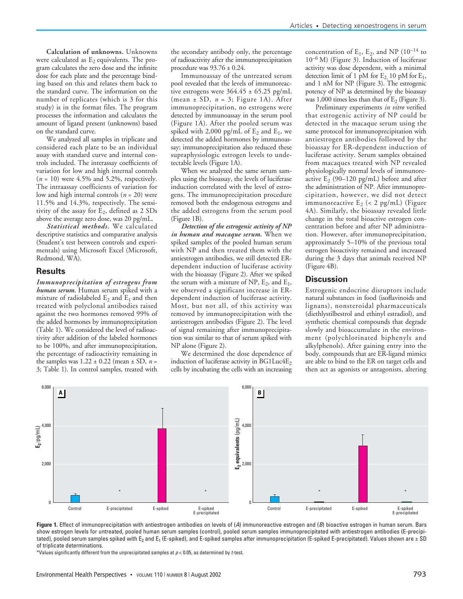**Calculation of unknowns.** Unknowns were calculated as  $E_2$  equivalents. The program calculates the zero dose and the infinite dose for each plate and the percentage binding based on this and relates them back to the standard curve. The information on the number of replicates (which is 3 for this study) is in the format files. The program processes the information and calculates the amount of ligand present (unknowns) based on the standard curve.

We analyzed all samples in triplicate and considered each plate to be an individual assay with standard curve and internal controls included. The interassay coefficients of variation for low and high internal controls (*n* = 10) were 4.5% and 5.2%, respectively. The intraassay coefficients of variation for low and high internal controls (*n* = 20) were 11.5% and 14.3%, respectively. The sensitivity of the assay for  $\hat{E}_2$ , defined as 2 SDs above the average zero dose, was 20 pg/mL.

*Statistical methods.* We calculated descriptive statistics and comparative analysis (Student's test between controls and experimentals) using Microsoft Excel (Microsoft, Redmond, WA).

#### **Results**

*Immunoprecipitation of estrogens from human serum.* Human serum spiked with a mixture of radiolabeled  $E_2$  and  $E_1$  and then treated with polyclonal antibodies raised against the two hormones removed 99% of the added hormones by immunoprecipitation (Table 1). We considered the level of radioactivity after addition of the labeled hormones to be 100%, and after immunoprecipitation, the percentage of radioactivity remaining in the samples was  $1.22 \pm 0.22$  (mean  $\pm$  SD,  $n =$ 3; Table 1). In control samples, treated with

the secondary antibody only, the percentage of radioactivity after the immunoprecipitation procedure was  $93.76 \pm 0.24$ .

Immunoassay of the untreated serum pool revealed that the levels of immunoreactive estrogens were  $364.45 \pm 65.25$  pg/mL (mean ± SD, *n* = 3; Figure 1A). After immunoprecipitation, no estrogens were detected by immunoassay in the serum pool (Figure 1A). After the pooled serum was spiked with 2,000 pg/mL of  $E_2$  and  $E_1$ , we detected the added hormones by immunoassay; immunoprecipitation also reduced these supraphysiologic estrogen levels to undetectable levels (Figure 1A).

When we analyzed the same serum samples using the bioassay, the levels of luciferase induction correlated with the level of estrogens. The immunoprecipitation procedure removed both the endogenous estrogens and the added estrogens from the serum pool (Figure 1B).

*Detection of the estrogenic activity of NP in human and macaque serum.* When we spiked samples of the pooled human serum with NP and then treated them with the antiestrogen antibodies, we still detected ERdependent induction of luciferase activity with the bioassay (Figure 2). After we spiked the serum with a mixture of NP,  $E_2$ , and  $E_1$ , we observed a significant increase in ERdependent induction of luciferase activity. Most, but not all, of this activity was removed by immunoprecipitation with the antiestrogen antibodies (Figure 2). The level of signal remaining after immunoprecipitation was similar to that of serum spiked with NP alone (Figure 2).

We determined the dose dependence of induction of luciferase activity in  $BGLuc4E<sub>2</sub>$ cells by incubating the cells with an increasing concentration of  $E_1$ ,  $E_2$ , and NP (10<sup>-14</sup> to  $10^{-6}$  M) (Figure 3). Induction of luciferase activity was dose dependent, with a minimal detection limit of 1 pM for  $E_2$ , 10 pM for  $E_1$ , and 1 nM for NP (Figure 3). The estrogenic potency of NP as determined by the bioassay was 1,000 times less than that of  $E_2$  (Figure 3).

Preliminary experiments *in vitro* verified that estrogenic activity of NP could be detected in the macaque serum using the same protocol for immunoprecipitation with antiestrogen antibodies followed by the bioassay for ER-dependent induction of luciferase activity. Serum samples obtained from macaques treated with NP revealed physiologically normal levels of immunoreactive  $E_2$  (90–120 pg/mL) before and after the administration of NP. After immunoprecipitation, however, we did not detect immunoreactive  $E_2$  (< 2 pg/mL) (Figure 4A). Similarly, the bioassay revealed little change in the total bioactive estrogen concentration before and after NP administration. However, after immunoprecipitation, approximately 5–10% of the previous total estrogen bioactivity remained and increased during the 3 days that animals received NP (Figure 4B).

### **Discussion**

Estrogenic endocrine disruptors include natural substances in food (isoflavinoids and lignans), nonsteroidal pharmaceuticals (diethlystilbestrol and ethinyl estradiol), and synthetic chemical compounds that degrade slowly and bioaccumulate in the environment (polychlorinated biphenyls and alkylphenols). After gaining entry into the body, compounds that are ER-ligand mimics are able to bind to the ER on target cells and then act as agonists or antagonists, altering



**Figure 1.** Effect of immunoprecipitation with antiestrogen antibodies on levels of (*A*) immunoreactive estrogen and (*B*) bioactive estrogen in human serum. Bars show estrogen levels for untreated, pooled human serum samples (control), pooled serum samples immunoprecipitated with antiestrogen antibodies (E-precipitated), pooled serum samples spiked with  $E_2$  and  $E_1$  (E-spiked), and E-spiked samples after immunoprecipitation (E-spiked E-precipitated). Values shown are  $\pm$  SD of triplicate determinations.

\*Values significantly different from the unprecipitated samples at *p* < 0.05, as determined by *t-*test.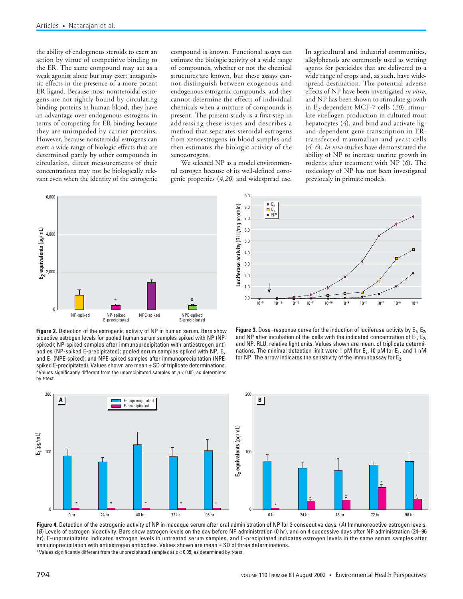the ability of endogenous steroids to exert an action by virtue of competitive binding to the ER. The same compound may act as a weak agonist alone but may exert antagonistic effects in the presence of a more potent ER ligand. Because most nonsteroidal estrogens are not tightly bound by circulating binding proteins in human blood, they have an advantage over endogenous estrogens in terms of competing for ER binding because they are unimpeded by carrier proteins. However, because nonsteroidal estrogens can exert a wide range of biologic effects that are determined partly by other compounds in circulation, direct measurements of their concentrations may not be biologically relevant even when the identity of the estrogenic compound is known. Functional assays can estimate the biologic activity of a wide range of compounds, whether or not the chemical structures are known, but these assays cannot distinguish between exogenous and endogenous estrogenic compounds, and they cannot determine the effects of individual chemicals when a mixture of compounds is present. The present study is a first step in addressing these issues and describes a method that separates steroidal estrogens from xenoestrogens in blood samples and then estimates the biologic activity of the xenoestrogens.

We selected NP as a model environmental estrogen because of its well-defined estrogenic properties (*4,20*) and widespread use. In agricultural and industrial communities, alkylphenols are commonly used as wetting agents for pesticides that are delivered to a wide range of crops and, as such, have widespread destination. The potential adverse effects of NP have been investigated *in vitro,* and NP has been shown to stimulate growth in E<sub>2</sub>-dependent MCF-7 cells (20), stimulate vitellogen production in cultured trout hepatocytes (*4*), and bind and activate ligand-dependent gene transcription in ERtransfected mammalian and yeast cells (*4–6*). *In vivo* studies have demonstrated the ability of NP to increase uterine growth in rodents after treatment with NP (*6*). The toxicology of NP has not been investigated previously in primate models.



**Figure 2.** Detection of the estrogenic activity of NP in human serum. Bars show bioactive estrogen levels for pooled human serum samples spiked with NP (NPspiked); NP-spiked samples after immunoprecipitation with antiestrogen antibodies (NP-spiked E-precipitated); pooled serum samples spiked with NP,  $E_2$ , and  $E_1$  (NPE-spiked); and NPE-spiked samples after immunoprecipitation (NPEspiked E-precipitated). Values shown are mean  $\pm$  SD of triplicate determinations. \*Values significantly different from the unprecipitated samples at *p* < 0.05, as determined by *t*-test.



**Figure 3.** Dose–response curve for the induction of luciferase activity by  $E_1$ ,  $E_2$ , and NP after incubation of the cells with the indicated concentration of  $E_1$ ,  $E_2$ , and NP. RLU, relative light units. Values shown are mean. of triplicate determinations. The minimal detection limit were 1 pM for  $E_2$ , 10 pM for  $E_1$ , and 1 nM for NP. The arrow indicates the sensitivity of the immunoassay for  $E_2$ .



**Figure 4.** Detection of the estrogenic activity of NP in macaque serum after oral administration of NP for 3 consecutive days. (*A*) Immunoreactive estrogen levels. (*B*) Levels of estrogen bioactivity. Bars show estrogen levels on the day before NP administration (0 hr), and on 4 successive days after NP administration (24–96 hr). E-unprecipitated indicates estrogen levels in untreated serum samples, and E-precipitated indicates estrogen levels in the same serum samples after immunoprecipitation with antiestrogen antibodies. Values shown are mean  $\pm$  SD of three determinations. \*Values significantly different from the unprecipitated samples at *p* < 0.05, as determined by *t*-test.